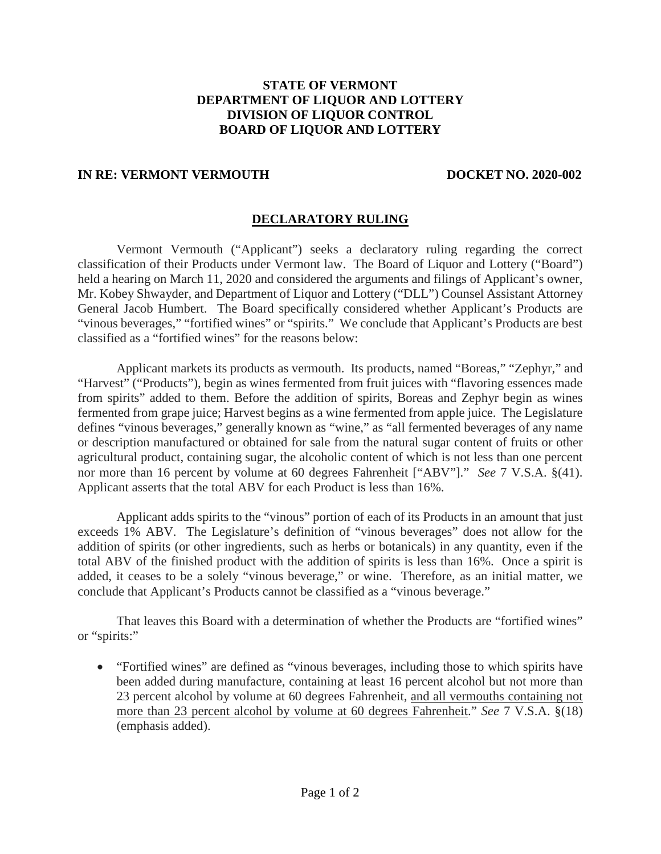## **STATE OF VERMONT DEPARTMENT OF LIQUOR AND LOTTERY DIVISION OF LIQUOR CONTROL BOARD OF LIQUOR AND LOTTERY**

## **IN RE: VERMONT VERMOUTH DOCKET NO. 2020-002**

## **DECLARATORY RULING**

Vermont Vermouth ("Applicant") seeks a declaratory ruling regarding the correct classification of their Products under Vermont law. The Board of Liquor and Lottery ("Board") held a hearing on March 11, 2020 and considered the arguments and filings of Applicant's owner, Mr. Kobey Shwayder, and Department of Liquor and Lottery ("DLL") Counsel Assistant Attorney General Jacob Humbert. The Board specifically considered whether Applicant's Products are "vinous beverages," "fortified wines" or "spirits." We conclude that Applicant's Products are best classified as a "fortified wines" for the reasons below:

Applicant markets its products as vermouth. Its products, named "Boreas," "Zephyr," and "Harvest" ("Products"), begin as wines fermented from fruit juices with "flavoring essences made from spirits" added to them. Before the addition of spirits, Boreas and Zephyr begin as wines fermented from grape juice; Harvest begins as a wine fermented from apple juice. The Legislature defines "vinous beverages," generally known as "wine," as "all fermented beverages of any name or description manufactured or obtained for sale from the natural sugar content of fruits or other agricultural product, containing sugar, the alcoholic content of which is not less than one percent nor more than 16 percent by volume at 60 degrees Fahrenheit ["ABV"]." *See* 7 V.S.A. §(41). Applicant asserts that the total ABV for each Product is less than 16%.

Applicant adds spirits to the "vinous" portion of each of its Products in an amount that just exceeds 1% ABV. The Legislature's definition of "vinous beverages" does not allow for the addition of spirits (or other ingredients, such as herbs or botanicals) in any quantity, even if the total ABV of the finished product with the addition of spirits is less than 16%. Once a spirit is added, it ceases to be a solely "vinous beverage," or wine. Therefore, as an initial matter, we conclude that Applicant's Products cannot be classified as a "vinous beverage."

That leaves this Board with a determination of whether the Products are "fortified wines" or "spirits:"

• "Fortified wines" are defined as "vinous beverages, including those to which spirits have been added during manufacture, containing at least 16 percent alcohol but not more than 23 percent alcohol by volume at 60 degrees Fahrenheit, and all vermouths containing not more than 23 percent alcohol by volume at 60 degrees Fahrenheit." *See* 7 V.S.A. §(18) (emphasis added).